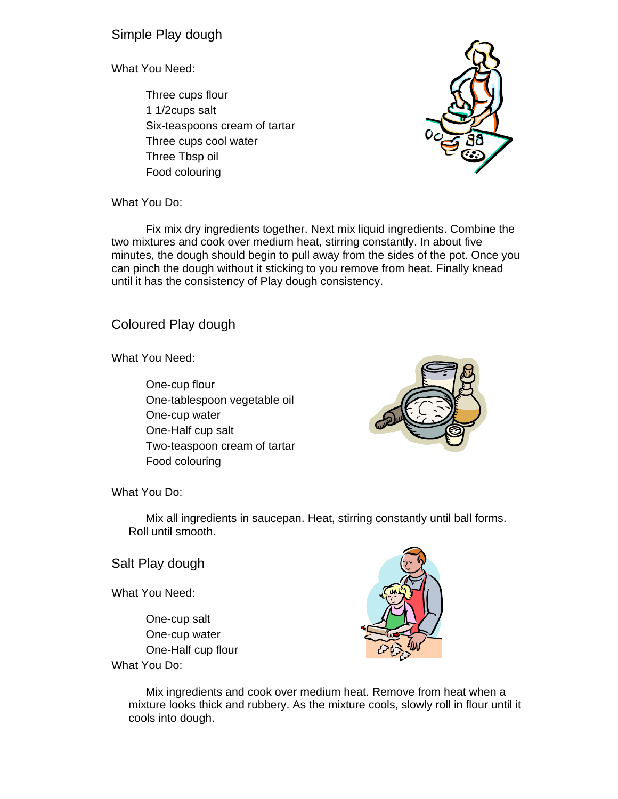Simple Play dough

What You Need:

Three cups flour 1 1/2cups salt Six-teaspoons cream of tartar Three cups cool water Three Tbsp oil Food colouring



What You Do:

Fix mix dry ingredients together. Next mix liquid ingredients. Combine the two mixtures and cook over medium heat, stirring constantly. In about five minutes, the dough should begin to pull away from the sides of the pot. Once you can pinch the dough without it sticking to you remove from heat. Finally knead until it has the consistency of Play dough consistency.

Coloured Play dough

What You Need:

One-cup flour One-tablespoon vegetable oil One-cup water One-Half cup salt Two-teaspoon cream of tartar Food colouring



What You Do:

Mix all ingredients in saucepan. Heat, stirring constantly until ball forms. Roll until smooth.

Salt Play dough

What You Need:

One-cup salt One-cup water One-Half cup flour What You Do:



Mix ingredients and cook over medium heat. Remove from heat when a mixture looks thick and rubbery. As the mixture cools, slowly roll in flour until it cools into dough.